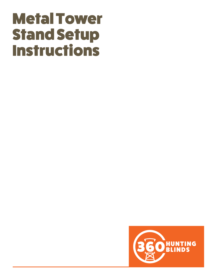# Metal Tower Stand Setup **Instructions**

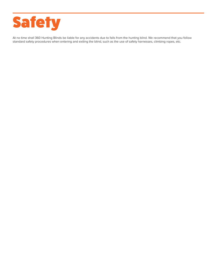

At no time shall 360 Hunting Blinds be liable for any accidents due to falls from the hunting blind. We recommend that you follow standard safety procedures when entering and exiting the blind, such as the use of safety harnesses, climbing ropes, etc.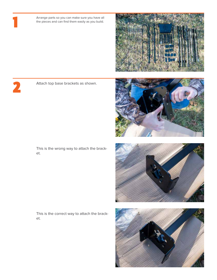Arrange parts so you can make sure you have all the pieces and can find them easily as you build.



## 2

1

Attach top base brackets as shown.





This is the wrong way to attach the bracket.

This is the correct way to attach the bracket.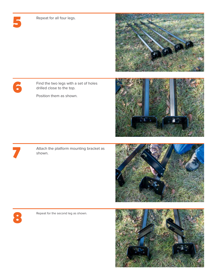Repeat for all four legs.



#### 6

5

Find the two legs with a set of holes drilled close to the top.

Position them as shown.





Attach the platform mounting bracket as shown.





Repeat for the second leg as shown.

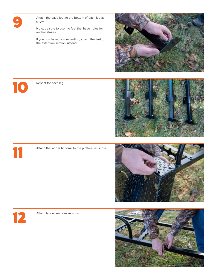

Attach the base feet to the bottom of each leg as shown.

Note: be sure to use the feet that have holes for anchor stakes.

If you purchased a 4' extention, attach the feet to the extention section instead.





Repeat for each leg.



Attach the ladder handrail to the platform as shown.





11

Attach ladder sections as shown.

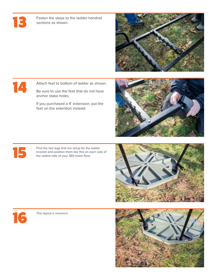### $\mathsf{E}$

Fasten the steps to the ladder handrail sections as shown.



#### 14

Attach feet to bottom of ladder as shown.

Be sure to use the feet that do not have anchor stake holes.

If you purchased a 4' extension, put the feet on the extention instead.

Find the two legs that are setup for the ladder bracket and position them like this on each side of the widest side of your 360 tower floor.







15

This layout is incorrect.

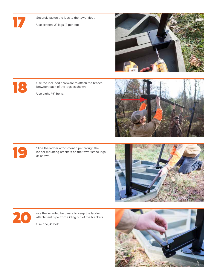

Securely fasten the legs to the tower floor.

Use sixteen, 2" lags (4 per leg).



18

Use the included hardware to attach the braces between each of the legs as shown.

Use eight, ¾" bolts.



19

Slide the ladder attachment pipe through the ladder mounting brackets on the tower stand legs as shown.





use the included hardware to keep the ladder attachment pipe from sliding out of the brackets.

Use one, 4" bolt.

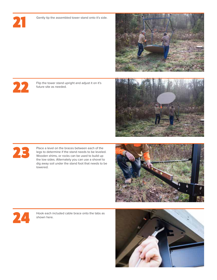21

Gently tip the assembled tower stand onto it's side.



22

Flip the tower stand upright and adjust it on it's future site as needed.



23

Place a level on the braces between each of the legs to determine if the stand needs to be leveled. Wooden shims, or rocks can be used to build up the low sides. Alternately you can use a shovel to dig away soil under the stand foot that needs to be lowered.





Hook each included cable brace onto the tabs as shown here.

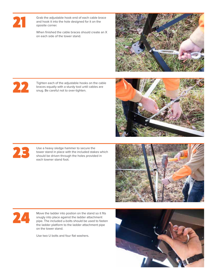

Grab the adjustable hook end of each cable brace and hook it into the hole designed for it on the oposite corner.

When finished the cable braces should create an X on each side of the tower stand.



22

Tighten each of the adjustable hooks on the cable braces equally with a sturdy tool until cables are snug. Be careful not to over-tighten.





Use a heavy sledge hammer to secure the tower stand in place with the included stakes which should be driven through the holes provided in each towner stand foot.



## 24

Move the ladder into postion on the stand so it fits snugly into place against the ladder attachment pipe. The included u-bolts should be used to fasten the ladder platform to the ladder attachment pipe on the tower stand.

Use two U bolts and four flat washers.

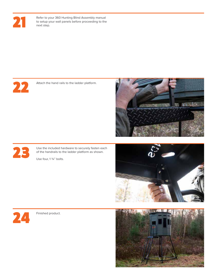

Refer to your 360 Hunting Blind Assembly manual to setup your wall panels before proceeding to the next step.



Attach the hand rails to the ladder platform.





Use the included hardware to securely fasten each of the handrails to the ladder platform as shown.

Use four, 1 3/4" bolts.





Finished product.